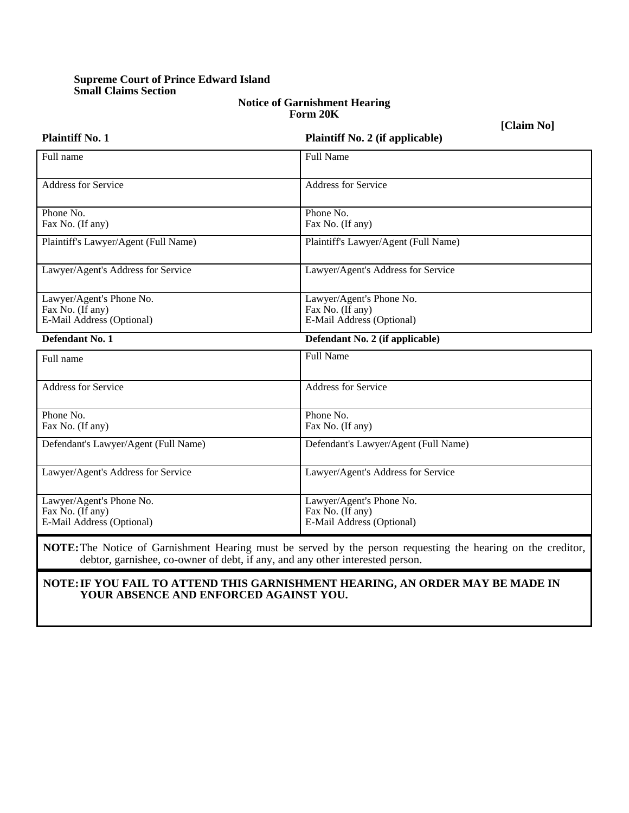# **Supreme Court of Prince Edward Island Small Claims Section**

#### **Notice of Garnishment Hearing Form 20K**

**[Claim No]**

| <b>Plaintiff No. 1</b>               | <b>Plaintiff No. 2 (if applicable)</b> |  |  |
|--------------------------------------|----------------------------------------|--|--|
| Full name                            | <b>Full Name</b>                       |  |  |
| Address for Service                  | <b>Address for Service</b>             |  |  |
| Phone No.                            | Phone No.                              |  |  |
| Fax No. (If any)                     | Fax No. (If any)                       |  |  |
| Plaintiff's Lawyer/Agent (Full Name) | Plaintiff's Lawyer/Agent (Full Name)   |  |  |
| Lawyer/Agent's Address for Service   | Lawyer/Agent's Address for Service     |  |  |
| Lawyer/Agent's Phone No.             | Lawyer/Agent's Phone No.               |  |  |
| Fax No. (If any)                     | Fax No. (If any)                       |  |  |
| E-Mail Address (Optional)            | E-Mail Address (Optional)              |  |  |
| Defendant No. 1                      | Defendant No. 2 (if applicable)        |  |  |
| Full name                            | <b>Full Name</b>                       |  |  |
| <b>Address for Service</b>           | <b>Address for Service</b>             |  |  |
| Phone No.<br>Fax No. (If any)        | Phone No.<br>Fax No. (If any)          |  |  |
|                                      |                                        |  |  |
| Defendant's Lawyer/Agent (Full Name) | Defendant's Lawyer/Agent (Full Name)   |  |  |
| Lawyer/Agent's Address for Service   | Lawyer/Agent's Address for Service     |  |  |
| Lawyer/Agent's Phone No.             | Lawyer/Agent's Phone No.               |  |  |
| Fax No. (If any)                     | Fax No. (If any)                       |  |  |
| E-Mail Address (Optional)            | E-Mail Address (Optional)              |  |  |
|                                      |                                        |  |  |

**NOTE:** The Notice of Garnishment Hearing must be served by the person requesting the hearing on the creditor, debtor, garnishee, co-owner of debt, if any, and any other interested person.

## **NOTE: IF YOU FAIL TO ATTEND THIS GARNISHMENT HEARING, AN ORDER MAY BE MADE IN YOUR ABSENCE AND ENFORCED AGAINST YOU.**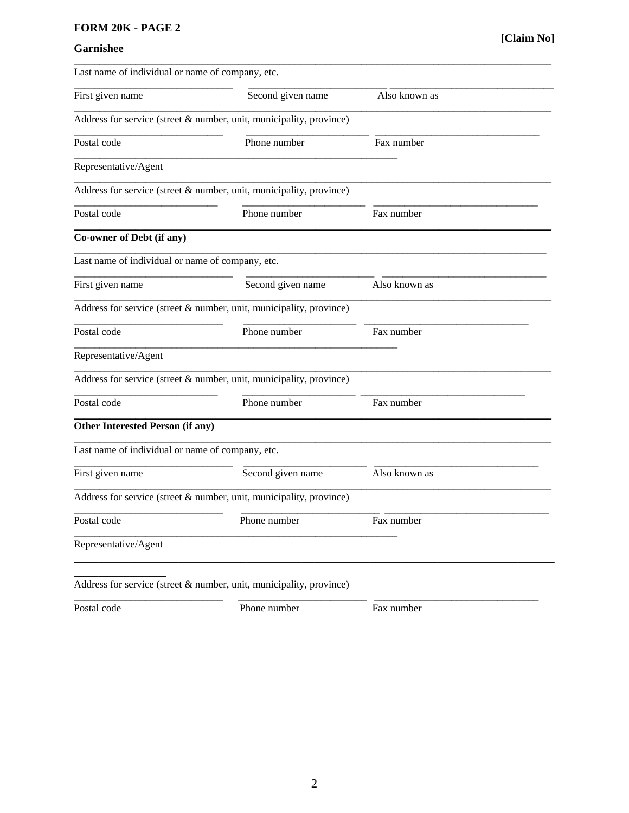## FORM 20K - PAGE 2

# Garnishee

| Last name of individual or name of company, etc. |                                                                     |               |  |  |
|--------------------------------------------------|---------------------------------------------------------------------|---------------|--|--|
| First given name                                 | Second given name                                                   | Also known as |  |  |
|                                                  | Address for service (street & number, unit, municipality, province) |               |  |  |
| Postal code                                      | Phone number                                                        | Fax number    |  |  |
| Representative/Agent                             |                                                                     |               |  |  |
|                                                  | Address for service (street & number, unit, municipality, province) |               |  |  |
| Postal code                                      | Phone number                                                        | Fax number    |  |  |
| Co-owner of Debt (if any)                        |                                                                     |               |  |  |
| Last name of individual or name of company, etc. |                                                                     |               |  |  |
| First given name                                 | Second given name                                                   | Also known as |  |  |
|                                                  | Address for service (street & number, unit, municipality, province) |               |  |  |
| Postal code                                      | Phone number                                                        | Fax number    |  |  |
| Representative/Agent                             |                                                                     |               |  |  |
|                                                  | Address for service (street & number, unit, municipality, province) |               |  |  |
| Postal code                                      | Phone number                                                        | Fax number    |  |  |
| <b>Other Interested Person (if any)</b>          |                                                                     |               |  |  |
| Last name of individual or name of company, etc. |                                                                     |               |  |  |
| First given name                                 | Second given name                                                   | Also known as |  |  |
|                                                  | Address for service (street & number, unit, municipality, province) |               |  |  |
| Postal code                                      | Phone number                                                        | Fax number    |  |  |
| Representative/Agent                             |                                                                     |               |  |  |
|                                                  |                                                                     |               |  |  |
|                                                  | Address for service (street & number, unit, municipality, province) |               |  |  |

Postal code

Phone number

Fax number